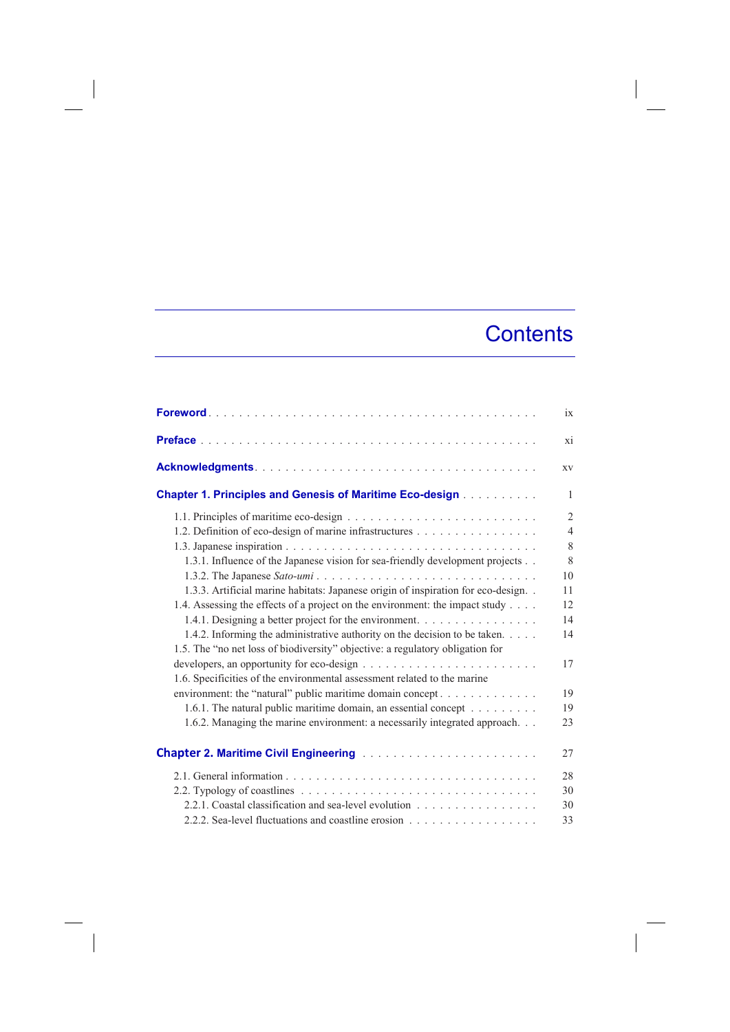## **Contents**

|                                                                                                                                                                               | ix                                              |
|-------------------------------------------------------------------------------------------------------------------------------------------------------------------------------|-------------------------------------------------|
|                                                                                                                                                                               | xi                                              |
|                                                                                                                                                                               | XV                                              |
| <b>Chapter 1. Principles and Genesis of Maritime Eco-design</b>                                                                                                               | $\mathbf{1}$                                    |
| 1.2. Definition of eco-design of marine infrastructures                                                                                                                       | $\overline{2}$<br>$\overline{4}$<br>$\,$ 8 $\,$ |
| 1.3.1. Influence of the Japanese vision for sea-friendly development projects                                                                                                 | 8<br>10                                         |
| 1.3.3. Artificial marine habitats: Japanese origin of inspiration for eco-design. .<br>1.4. Assessing the effects of a project on the environment: the impact study           | 11<br>12                                        |
| 1.4.1. Designing a better project for the environment.                                                                                                                        | 14                                              |
| 1.4.2. Informing the administrative authority on the decision to be taken.<br>1.5. The "no net loss of biodiversity" objective: a regulatory obligation for                   | 14                                              |
| developers, an opportunity for eco-design $\dots \dots \dots \dots \dots \dots \dots \dots \dots$<br>1.6. Specificities of the environmental assessment related to the marine | 17                                              |
| environment: the "natural" public maritime domain concept                                                                                                                     | 19                                              |
| 1.6.1. The natural public maritime domain, an essential concept<br>1.6.2. Managing the marine environment: a necessarily integrated approach.                                 | 19<br>23                                        |
| <b>Chapter 2. Maritime Civil Engineering Administration Chapter 2. Maritime Civil Engineering</b>                                                                             | 27                                              |
|                                                                                                                                                                               | 28                                              |
|                                                                                                                                                                               | 30                                              |
| 2.2.1. Coastal classification and sea-level evolution<br>2.2.2. Sea-level fluctuations and coastline erosion                                                                  | 30<br>33                                        |

 $\overline{\phantom{a}}$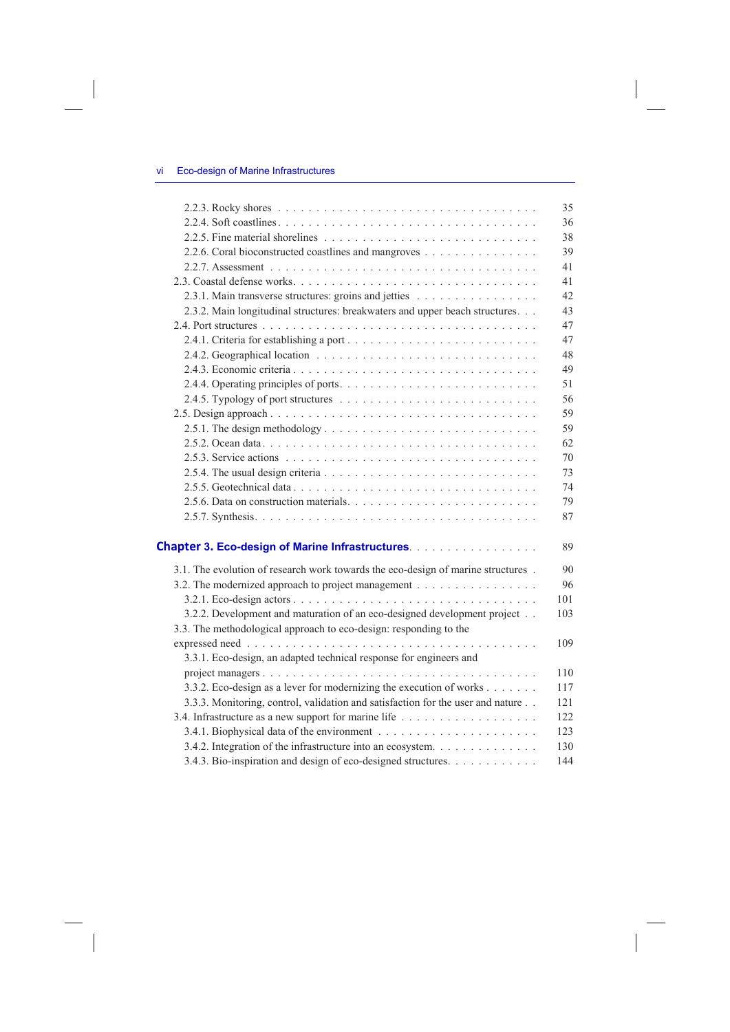$\overline{\phantom{a}}$ 

 $\overline{\phantom{a}}$ 

|                                                                                  | 35  |
|----------------------------------------------------------------------------------|-----|
|                                                                                  | 36  |
|                                                                                  | 38  |
| 2.2.6. Coral bioconstructed coastlines and mangroves                             | 39  |
|                                                                                  | 41  |
|                                                                                  | 41  |
| 2.3.1. Main transverse structures: groins and jetties                            | 42  |
| 2.3.2. Main longitudinal structures: breakwaters and upper beach structures.     | 43  |
|                                                                                  | 47  |
|                                                                                  | 47  |
|                                                                                  | 48  |
|                                                                                  | 49  |
|                                                                                  | 51  |
|                                                                                  | 56  |
|                                                                                  | 59  |
|                                                                                  | 59  |
|                                                                                  | 62  |
|                                                                                  | 70  |
|                                                                                  | 73  |
|                                                                                  | 74  |
|                                                                                  | 79  |
|                                                                                  | 87  |
|                                                                                  |     |
| <b>Chapter 3. Eco-design of Marine Infrastructures.</b>                          | 89  |
| 3.1. The evolution of research work towards the eco-design of marine structures. | 90  |
| 3.2. The modernized approach to project management                               | 96  |
|                                                                                  | 101 |
| 3.2.2. Development and maturation of an eco-designed development project         | 103 |
| 3.3. The methodological approach to eco-design: responding to the                |     |
|                                                                                  | 109 |
| 3.3.1. Eco-design, an adapted technical response for engineers and               |     |
|                                                                                  | 110 |
| 3.3.2. Eco-design as a lever for modernizing the execution of works              | 117 |
| 3.3.3. Monitoring, control, validation and satisfaction for the user and nature  | 121 |
|                                                                                  | 122 |
|                                                                                  | 123 |
| 3.4.2. Integration of the infrastructure into an ecosystem.                      | 130 |
| 3.4.3. Bio-inspiration and design of eco-designed structures.                    | 144 |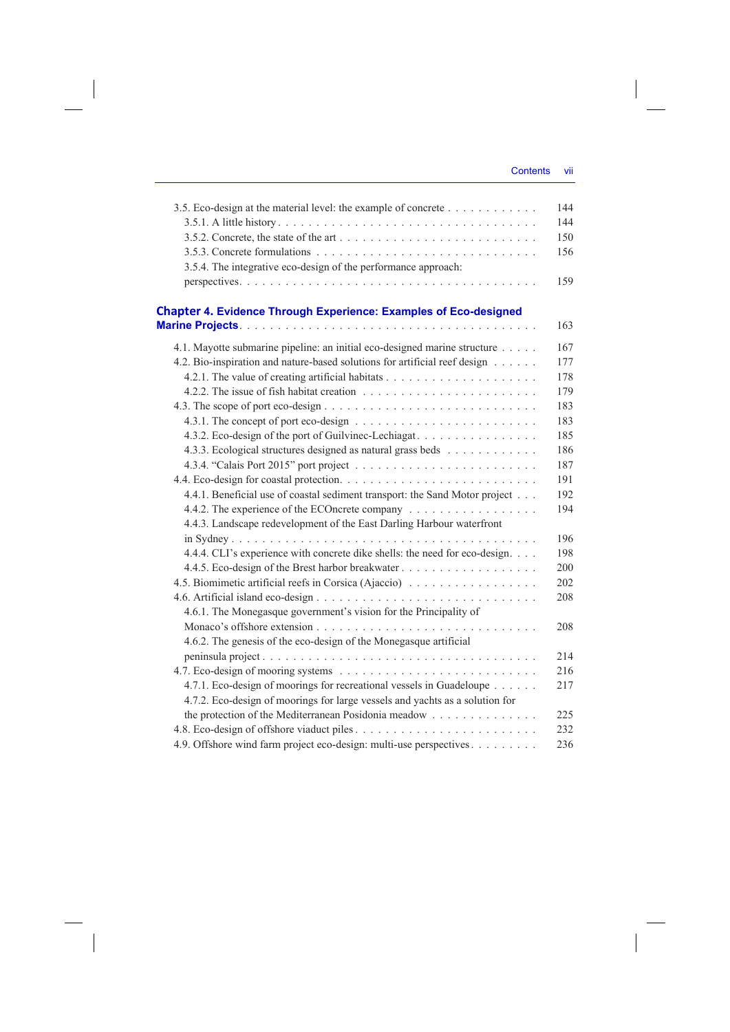| 3.5. Eco-design at the material level: the example of concrete<br>3.5.4. The integrative eco-design of the performance approach:                                                                                                                                                                                                                                                                                                                                                                                                                                        | 144<br>144<br>150<br>156<br>159                                                                       |
|-------------------------------------------------------------------------------------------------------------------------------------------------------------------------------------------------------------------------------------------------------------------------------------------------------------------------------------------------------------------------------------------------------------------------------------------------------------------------------------------------------------------------------------------------------------------------|-------------------------------------------------------------------------------------------------------|
| <b>Chapter 4. Evidence Through Experience: Examples of Eco-designed</b>                                                                                                                                                                                                                                                                                                                                                                                                                                                                                                 | 163                                                                                                   |
| 4.1. Mayotte submarine pipeline: an initial eco-designed marine structure<br>4.2. Bio-inspiration and nature-based solutions for artificial reef design<br>4.3.2. Eco-design of the port of Guilvinec-Lechiagat<br>4.3.3. Ecological structures designed as natural grass beds<br>4.4.1. Beneficial use of coastal sediment transport: the Sand Motor project<br>4.4.2. The experience of the ECOncrete company<br>4.4.3. Landscape redevelopment of the East Darling Harbour waterfront<br>4.4.4. CLI's experience with concrete dike shells: the need for eco-design. | 167<br>177<br>178<br>179<br>183<br>183<br>185<br>186<br>187<br>191<br>192<br>194<br>196<br>198<br>200 |
| 4.5. Biomimetic artificial reefs in Corsica (Ajaccio)                                                                                                                                                                                                                                                                                                                                                                                                                                                                                                                   | 202<br>208                                                                                            |
| 4.6.1. The Monegasque government's vision for the Principality of<br>4.6.2. The genesis of the eco-design of the Monegasque artificial                                                                                                                                                                                                                                                                                                                                                                                                                                  | 208                                                                                                   |
| 4.7.1. Eco-design of moorings for recreational vessels in Guadeloupe<br>4.7.2. Eco-design of moorings for large vessels and yachts as a solution for                                                                                                                                                                                                                                                                                                                                                                                                                    | 214<br>216<br>217                                                                                     |
| the protection of the Mediterranean Posidonia meadow<br>4.9. Offshore wind farm project eco-design: multi-use perspectives                                                                                                                                                                                                                                                                                                                                                                                                                                              | 225<br>232<br>236                                                                                     |